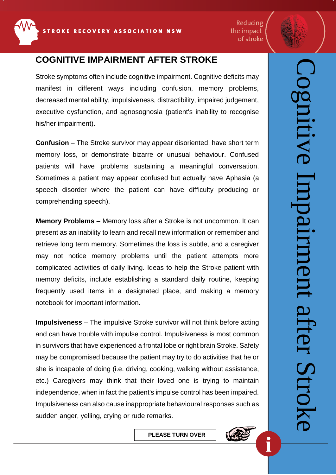

Reducing the impact of stroke



Cognitive Impairment after Stroke

ment

after (

 $|U$ 

nitive

## **COGNITIVE IMPAIRMENT AFTER STROKE**

Stroke symptoms often include cognitive impairment. Cognitive deficits may manifest in different ways including confusion, memory problems, decreased mental ability, impulsiveness, distractibility, impaired judgement, executive dysfunction, and agnosognosia (patient's inability to recognise his/her impairment).

**Confusion** – The Stroke survivor may appear disoriented, have short term memory loss, or demonstrate bizarre or unusual behaviour. Confused patients will have problems sustaining a meaningful conversation. Sometimes a patient may appear confused but actually have Aphasia (a speech disorder where the patient can have difficulty producing or comprehending speech).

**Memory Problems** – Memory loss after a Stroke is not uncommon. It can present as an inability to learn and recall new information or remember and retrieve long term memory. Sometimes the loss is subtle, and a caregiver may not notice memory problems until the patient attempts more complicated activities of daily living. Ideas to help the Stroke patient with memory deficits, include establishing a standard daily routine, keeping frequently used items in a designated place, and making a memory notebook for important information.

**Impulsiveness** – The impulsive Stroke survivor will not think before acting and can have trouble with impulse control. Impulsiveness is most common in survivors that have experienced a frontal lobe or right brain Stroke. Safety may be compromised because the patient may try to do activities that he or she is incapable of doing (i.e. driving, cooking, walking without assistance, etc.) Caregivers may think that their loved one is trying to maintain independence, when in fact the patient's impulse control has been impaired. Impulsiveness can also cause inappropriate behavioural responses such as sudden anger, yelling, crying or rude remarks.

**PLEASE TURN OVER**